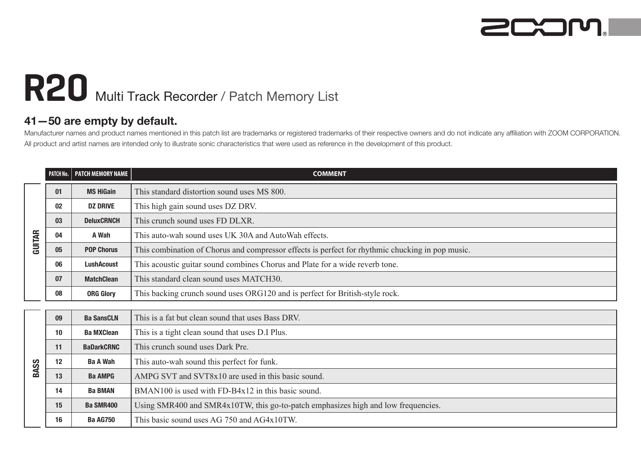

## R20 Multi Track Recorder / Patch Memory List

## **41—50 are empty by default.**

Manufacturer names and product names mentioned in this patch list are trademarks or registered trademarks of their respective owners and do not indicate any affiliation with ZOOM CORPORATION. All product and artist names are intended only to illustrate sonic characteristics that were used as reference in the development of this product.

|        | PATCH No. | PATCH MEMORY NAME | <b>COMMENT</b>                                                                                   |
|--------|-----------|-------------------|--------------------------------------------------------------------------------------------------|
| GUITAR | 01        | <b>MS HiGain</b>  | This standard distortion sound uses MS 800.                                                      |
|        | 02        | <b>DZ DRIVE</b>   | This high gain sound uses DZ DRV.                                                                |
|        | 03        | <b>DeluxCRNCH</b> | This crunch sound uses FD DLXR.                                                                  |
|        | 04        | A Wah             | This auto-wah sound uses UK 30A and Auto Wah effects.                                            |
|        | 05        | <b>POP Chorus</b> | This combination of Chorus and compressor effects is perfect for rhythmic chucking in pop music. |
|        | 06        | <b>LushAcoust</b> | This acoustic guitar sound combines Chorus and Plate for a wide reverb tone.                     |
|        | 07        | <b>MatchClean</b> | This standard clean sound uses MATCH30.                                                          |
|        | 08        | <b>ORG Glorv</b>  | This backing crunch sound uses ORG120 and is perfect for British-style rock.                     |
|        |           |                   |                                                                                                  |
| BASS   | 09        | <b>Ba SansCLN</b> | This is a fat but clean sound that uses Bass DRV.                                                |
|        | 10        | <b>Ba MXClean</b> | This is a tight clean sound that uses D.I Plus.                                                  |
|        | 11        | <b>BaDarkCRNC</b> | This crunch sound uses Dark Pre.                                                                 |
|        | 12        | <b>Ba A Wah</b>   | This auto-wah sound this perfect for funk.                                                       |
|        | 13        | <b>Ba AMPG</b>    | AMPG SVT and SVT8x10 are used in this basic sound.                                               |
|        | 14        | <b>Ba BMAN</b>    | BMAN100 is used with FD-B4x12 in this basic sound.                                               |
|        | 15        | <b>Ba SMR400</b>  | Using SMR400 and SMR4x10TW, this go-to-patch emphasizes high and low frequencies.                |
|        | 16        | <b>Ba AG750</b>   | This basic sound uses AG 750 and AG4x10TW.                                                       |